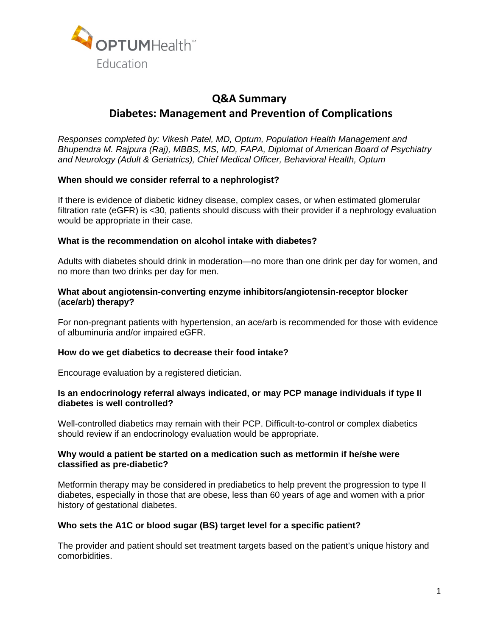

# **Q&A Summary Diabetes: Management and Prevention of Complications**

*Responses completed by: Vikesh Patel, MD, Optum, Population Health Management and Bhupendra M. Rajpura (Raj), MBBS, MS, MD, FAPA, Diplomat of American Board of Psychiatry and Neurology (Adult & Geriatrics), Chief Medical Officer, Behavioral Health, Optum* 

# **When should we consider referral to a nephrologist?**

If there is evidence of diabetic kidney disease, complex cases, or when estimated glomerular filtration rate (eGFR) is <30, patients should discuss with their provider if a nephrology evaluation would be appropriate in their case.

#### **What is the recommendation on alcohol intake with diabetes?**

Adults with diabetes should drink in moderation—no more than one drink per day for women, and no more than two drinks per day for men.

#### **What about angiotensin-converting enzyme inhibitors/angiotensin-receptor blocker (ace/arb) therapy?**

For non-pregnant patients with hypertension, an ace/arb is recommended for those with evidence of albuminuria and/or impaired eGFR.

#### **How do we get diabetics to decrease their food intake?**

Encourage evaluation by a registered dietician.

#### **Is an endocrinology referral always indicated, or may PCP manage individuals if type II diabetes is well controlled?**

Well-controlled diabetics may remain with their PCP. Difficult-to-control or complex diabetics should review if an endocrinology evaluation would be appropriate.

#### **Why would a patient be started on a medication such as metformin if he/she were classified as pre-diabetic?**

Metformin therapy may be considered in prediabetics to help prevent the progression to type II diabetes, especially in those that are obese, less than 60 years of age and women with a prior history of gestational diabetes.

#### **Who sets the A1C or blood sugar (BS) target level for a specific patient?**

The provider and patient should set treatment targets based on the patient's unique history and comorbidities.